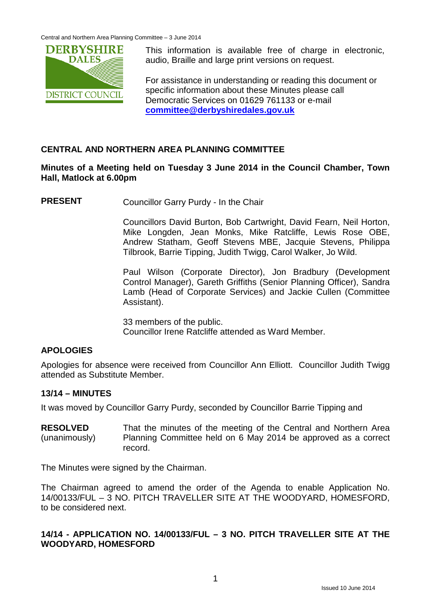

This information is available free of charge in electronic, audio, Braille and large print versions on request.

For assistance in understanding or reading this document or specific information about these Minutes please call Democratic Services on 01629 761133 or e-mail **[committee@derbyshiredales.gov.uk](mailto:committee@derbyshiredales.gov.uk)**

# **CENTRAL AND NORTHERN AREA PLANNING COMMITTEE**

## **Minutes of a Meeting held on Tuesday 3 June 2014 in the Council Chamber, Town Hall, Matlock at 6.00pm**

**PRESENT** Councillor Garry Purdy - In the Chair

Councillors David Burton, Bob Cartwright, David Fearn, Neil Horton, Mike Longden, Jean Monks, Mike Ratcliffe, Lewis Rose OBE, Andrew Statham, Geoff Stevens MBE, Jacquie Stevens, Philippa Tilbrook, Barrie Tipping, Judith Twigg, Carol Walker, Jo Wild.

Paul Wilson (Corporate Director), Jon Bradbury (Development Control Manager), Gareth Griffiths (Senior Planning Officer), Sandra Lamb (Head of Corporate Services) and Jackie Cullen (Committee Assistant).

33 members of the public. Councillor Irene Ratcliffe attended as Ward Member.

### **APOLOGIES**

Apologies for absence were received from Councillor Ann Elliott. Councillor Judith Twigg attended as Substitute Member.

### **13/14 – MINUTES**

It was moved by Councillor Garry Purdy, seconded by Councillor Barrie Tipping and

**RESOLVED** (unanimously) That the minutes of the meeting of the Central and Northern Area Planning Committee held on 6 May 2014 be approved as a correct record.

The Minutes were signed by the Chairman.

The Chairman agreed to amend the order of the Agenda to enable Application No. 14/00133/FUL – 3 NO. PITCH TRAVELLER SITE AT THE WOODYARD, HOMESFORD, to be considered next.

## **14/14 - APPLICATION NO. 14/00133/FUL – 3 NO. PITCH TRAVELLER SITE AT THE WOODYARD, HOMESFORD**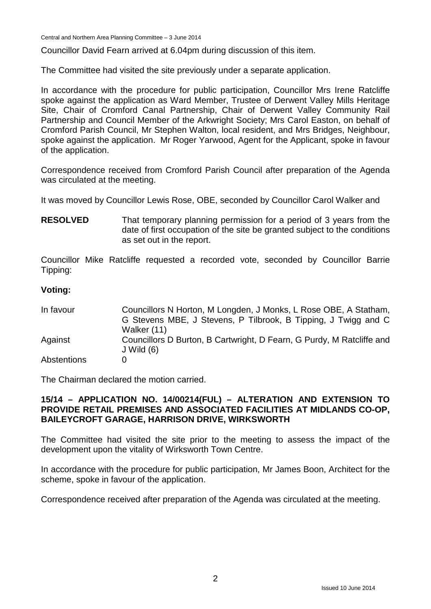Central and Northern Area Planning Committee – 3 June 2014

Councillor David Fearn arrived at 6.04pm during discussion of this item.

The Committee had visited the site previously under a separate application.

In accordance with the procedure for public participation, Councillor Mrs Irene Ratcliffe spoke against the application as Ward Member, Trustee of Derwent Valley Mills Heritage Site, Chair of Cromford Canal Partnership, Chair of Derwent Valley Community Rail Partnership and Council Member of the Arkwright Society; Mrs Carol Easton, on behalf of Cromford Parish Council, Mr Stephen Walton, local resident, and Mrs Bridges, Neighbour, spoke against the application. Mr Roger Yarwood, Agent for the Applicant, spoke in favour of the application.

Correspondence received from Cromford Parish Council after preparation of the Agenda was circulated at the meeting.

It was moved by Councillor Lewis Rose, OBE, seconded by Councillor Carol Walker and

**RESOLVED** That temporary planning permission for a period of 3 years from the date of first occupation of the site be granted subject to the conditions as set out in the report.

Councillor Mike Ratcliffe requested a recorded vote, seconded by Councillor Barrie Tipping:

### **Voting:**

| In favour   | Councillors N Horton, M Longden, J Monks, L Rose OBE, A Statham,<br>G Stevens MBE, J Stevens, P Tilbrook, B Tipping, J Twigg and C<br>Walker (11) |
|-------------|---------------------------------------------------------------------------------------------------------------------------------------------------|
| Against     | Councillors D Burton, B Cartwright, D Fearn, G Purdy, M Ratcliffe and<br>$J$ Wild $(6)$                                                           |
| Abstentions |                                                                                                                                                   |

The Chairman declared the motion carried.

### **15/14 – APPLICATION NO. 14/00214(FUL) – ALTERATION AND EXTENSION TO PROVIDE RETAIL PREMISES AND ASSOCIATED FACILITIES AT MIDLANDS CO-OP, BAILEYCROFT GARAGE, HARRISON DRIVE, WIRKSWORTH**

The Committee had visited the site prior to the meeting to assess the impact of the development upon the vitality of Wirksworth Town Centre.

In accordance with the procedure for public participation, Mr James Boon, Architect for the scheme, spoke in favour of the application.

Correspondence received after preparation of the Agenda was circulated at the meeting.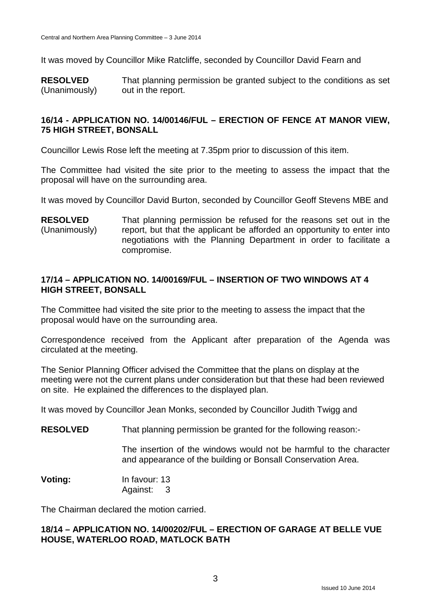It was moved by Councillor Mike Ratcliffe, seconded by Councillor David Fearn and

**RESOLVED** (Unanimously) That planning permission be granted subject to the conditions as set out in the report.

## **16/14 - APPLICATION NO. 14/00146/FUL – ERECTION OF FENCE AT MANOR VIEW, 75 HIGH STREET, BONSALL**

Councillor Lewis Rose left the meeting at 7.35pm prior to discussion of this item.

The Committee had visited the site prior to the meeting to assess the impact that the proposal will have on the surrounding area.

It was moved by Councillor David Burton, seconded by Councillor Geoff Stevens MBE and

**RESOLVED** (Unanimously) That planning permission be refused for the reasons set out in the report, but that the applicant be afforded an opportunity to enter into negotiations with the Planning Department in order to facilitate a compromise.

### **17/14 – APPLICATION NO. 14/00169/FUL – INSERTION OF TWO WINDOWS AT 4 HIGH STREET, BONSALL**

The Committee had visited the site prior to the meeting to assess the impact that the proposal would have on the surrounding area.

Correspondence received from the Applicant after preparation of the Agenda was circulated at the meeting.

The Senior Planning Officer advised the Committee that the plans on display at the meeting were not the current plans under consideration but that these had been reviewed on site. He explained the differences to the displayed plan.

It was moved by Councillor Jean Monks, seconded by Councillor Judith Twigg and

**RESOLVED** That planning permission be granted for the following reason:-

The insertion of the windows would not be harmful to the character and appearance of the building or Bonsall Conservation Area.

**Voting:** In favour: 13 Against: 3

The Chairman declared the motion carried.

**18/14 – APPLICATION NO. 14/00202/FUL – ERECTION OF GARAGE AT BELLE VUE HOUSE, WATERLOO ROAD, MATLOCK BATH**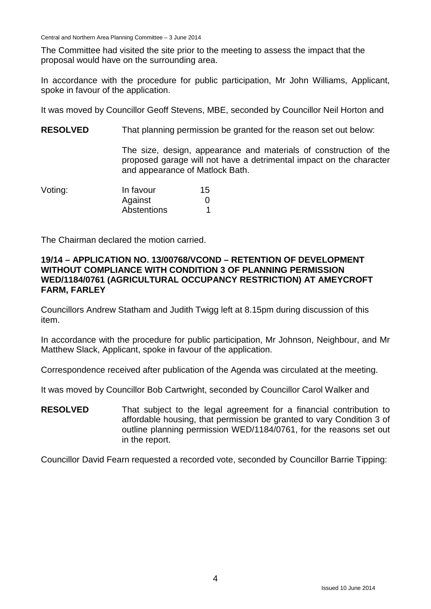Central and Northern Area Planning Committee – 3 June 2014

The Committee had visited the site prior to the meeting to assess the impact that the proposal would have on the surrounding area.

In accordance with the procedure for public participation, Mr John Williams, Applicant, spoke in favour of the application.

It was moved by Councillor Geoff Stevens, MBE, seconded by Councillor Neil Horton and

**RESOLVED** That planning permission be granted for the reason set out below:

> The size, design, appearance and materials of construction of the proposed garage will not have a detrimental impact on the character and appearance of Matlock Bath.

Voting: In favour 15 Against 0 Abstentions 1

The Chairman declared the motion carried.

#### **19/14 – APPLICATION NO. 13/00768/VCOND – RETENTION OF DEVELOPMENT WITHOUT COMPLIANCE WITH CONDITION 3 OF PLANNING PERMISSION WED/1184/0761 (AGRICULTURAL OCCUPANCY RESTRICTION) AT AMEYCROFT FARM, FARLEY**

Councillors Andrew Statham and Judith Twigg left at 8.15pm during discussion of this item.

In accordance with the procedure for public participation, Mr Johnson, Neighbour, and Mr Matthew Slack, Applicant, spoke in favour of the application.

Correspondence received after publication of the Agenda was circulated at the meeting.

It was moved by Councillor Bob Cartwright, seconded by Councillor Carol Walker and

**RESOLVED** That subject to the legal agreement for a financial contribution to affordable housing, that permission be granted to vary Condition 3 of outline planning permission WED/1184/0761, for the reasons set out in the report.

Councillor David Fearn requested a recorded vote, seconded by Councillor Barrie Tipping: